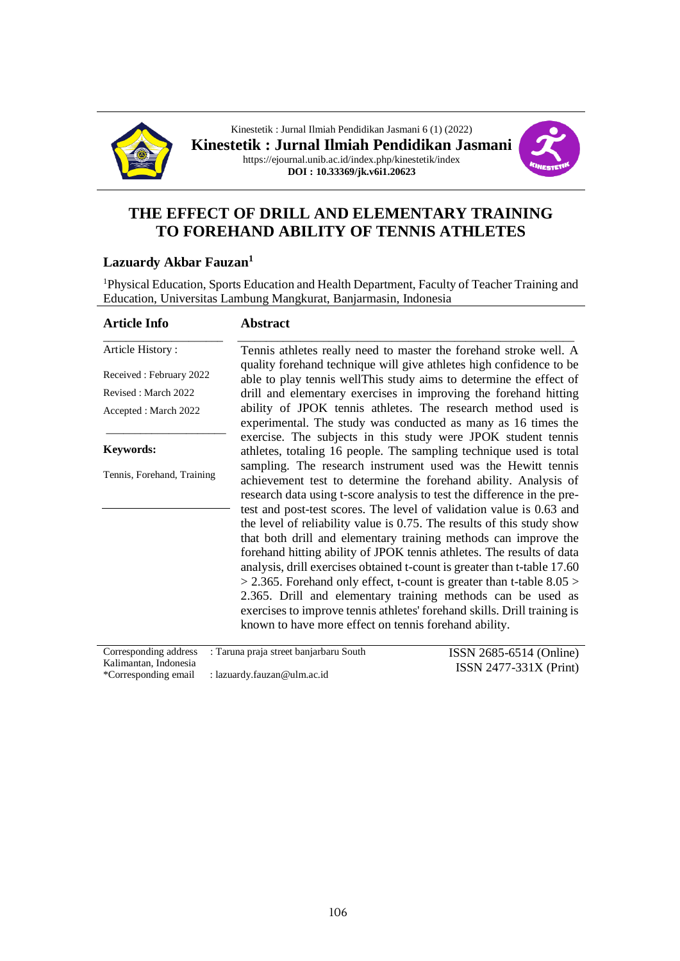

**Article Info**



# **THE EFFECT OF DRILL AND ELEMENTARY TRAINING TO FOREHAND ABILITY OF TENNIS ATHLETES**

### **Lazuardy Akbar Fauzan<sup>1</sup>**

<sup>1</sup>Physical Education, Sports Education and Health Department, Faculty of Teacher Training and Education, Universitas Lambung Mangkurat, Banjarmasin, Indonesia

**Abstract**

| лі исіс піпо               | Avsuaci                                                                                                                                                                                                    |                                     |
|----------------------------|------------------------------------------------------------------------------------------------------------------------------------------------------------------------------------------------------------|-------------------------------------|
| Article History:           | Tennis athletes really need to master the forehand stroke well. A                                                                                                                                          |                                     |
| Received: February 2022    | quality forehand technique will give athletes high confidence to be<br>able to play tennis well This study aims to determine the effect of                                                                 |                                     |
| Revised: March 2022        | drill and elementary exercises in improving the forehand hitting                                                                                                                                           |                                     |
| Accepted: March 2022       | ability of JPOK tennis athletes. The research method used is<br>experimental. The study was conducted as many as 16 times the                                                                              |                                     |
| <b>Keywords:</b>           | exercise. The subjects in this study were JPOK student tennis<br>athletes, totaling 16 people. The sampling technique used is total                                                                        |                                     |
| Tennis, Forehand, Training | sampling. The research instrument used was the Hewitt tennis<br>achievement test to determine the forehand ability. Analysis of<br>research data using t-score analysis to test the difference in the pre- |                                     |
|                            | test and post-test scores. The level of validation value is 0.63 and                                                                                                                                       |                                     |
|                            | the level of reliability value is 0.75. The results of this study show                                                                                                                                     |                                     |
|                            | that both drill and elementary training methods can improve the                                                                                                                                            |                                     |
|                            | forehand hitting ability of JPOK tennis athletes. The results of data                                                                                                                                      |                                     |
|                            | analysis, drill exercises obtained t-count is greater than t-table 17.60                                                                                                                                   |                                     |
|                            | $>$ 2.365. Forehand only effect, t-count is greater than t-table 8.05 $>$                                                                                                                                  |                                     |
|                            | 2.365. Drill and elementary training methods can be used as                                                                                                                                                |                                     |
|                            | exercises to improve tennis athletes' forehand skills. Drill training is<br>known to have more effect on tennis forehand ability.                                                                          |                                     |
| Corresponding address      | : Taruna praia street baniarbaru South                                                                                                                                                                     | $\text{IRSN } 2685 - 6514$ (Online) |

|                       | Corresponding address : Taruna praja street banjarbaru South | ISSN 2685-6514 (Online)  |
|-----------------------|--------------------------------------------------------------|--------------------------|
| Kalimantan, Indonesia |                                                              | $ISSN 2477-331X (Print)$ |
|                       | *Corresponding email : lazuardy.fauzan@ulm.ac.id             |                          |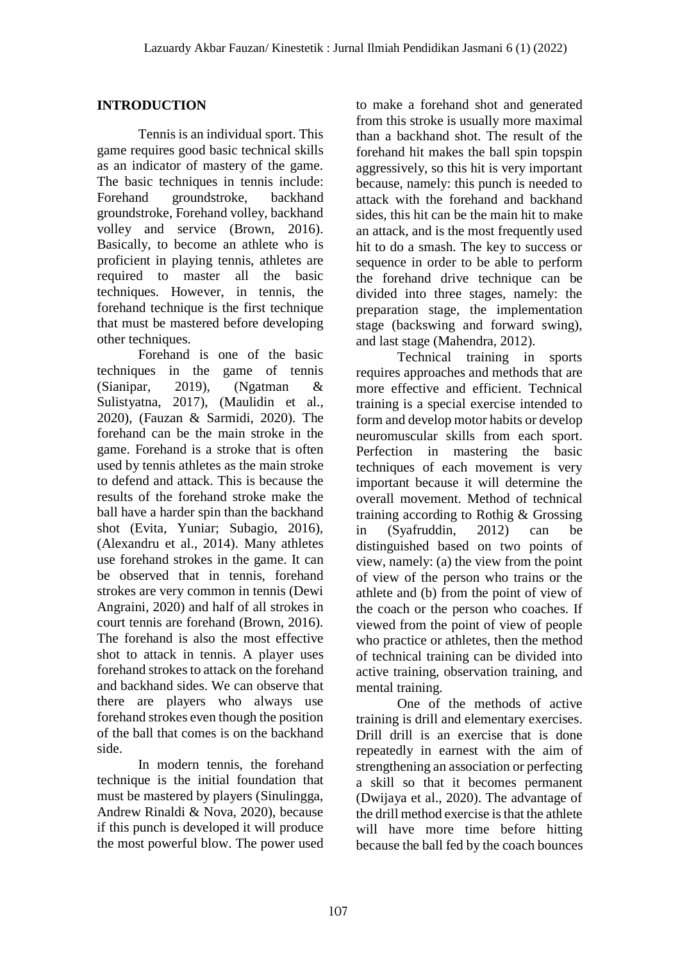### **INTRODUCTION**

Tennis is an individual sport. This game requires good basic technical skills as an indicator of mastery of the game. The basic techniques in tennis include: Forehand groundstroke, backhand groundstroke, Forehand volley, backhand volley and service (Brown, 2016). Basically, to become an athlete who is proficient in playing tennis, athletes are required to master all the basic techniques. However, in tennis, the forehand technique is the first technique that must be mastered before developing other techniques.

Forehand is one of the basic techniques in the game of tennis (Sianipar, 2019), (Ngatman & Sulistyatna, 2017), (Maulidin et al., 2020), (Fauzan & Sarmidi, 2020). The forehand can be the main stroke in the game. Forehand is a stroke that is often used by tennis athletes as the main stroke to defend and attack. This is because the results of the forehand stroke make the ball have a harder spin than the backhand shot (Evita, Yuniar; Subagio, 2016), (Alexandru et al., 2014). Many athletes use forehand strokes in the game. It can be observed that in tennis, forehand strokes are very common in tennis (Dewi Angraini, 2020) and half of all strokes in court tennis are forehand (Brown, 2016). The forehand is also the most effective shot to attack in tennis. A player uses forehand strokes to attack on the forehand and backhand sides. We can observe that there are players who always use forehand strokes even though the position of the ball that comes is on the backhand side.

In modern tennis, the forehand technique is the initial foundation that must be mastered by players (Sinulingga, Andrew Rinaldi & Nova, 2020), because if this punch is developed it will produce the most powerful blow. The power used to make a forehand shot and generated from this stroke is usually more maximal than a backhand shot. The result of the forehand hit makes the ball spin topspin aggressively, so this hit is very important because, namely: this punch is needed to attack with the forehand and backhand sides, this hit can be the main hit to make an attack, and is the most frequently used hit to do a smash. The key to success or sequence in order to be able to perform the forehand drive technique can be divided into three stages, namely: the preparation stage, the implementation stage (backswing and forward swing), and last stage (Mahendra, 2012).

Technical training in sports requires approaches and methods that are more effective and efficient. Technical training is a special exercise intended to form and develop motor habits or develop neuromuscular skills from each sport. Perfection in mastering the basic techniques of each movement is very important because it will determine the overall movement. Method of technical training according to Rothig & Grossing in (Syafruddin, 2012) can be distinguished based on two points of view, namely: (a) the view from the point of view of the person who trains or the athlete and (b) from the point of view of the coach or the person who coaches. If viewed from the point of view of people who practice or athletes, then the method of technical training can be divided into active training, observation training, and mental training.

One of the methods of active training is drill and elementary exercises. Drill drill is an exercise that is done repeatedly in earnest with the aim of strengthening an association or perfecting a skill so that it becomes permanent (Dwijaya et al., 2020). The advantage of the drill method exercise is that the athlete will have more time before hitting because the ball fed by the coach bounces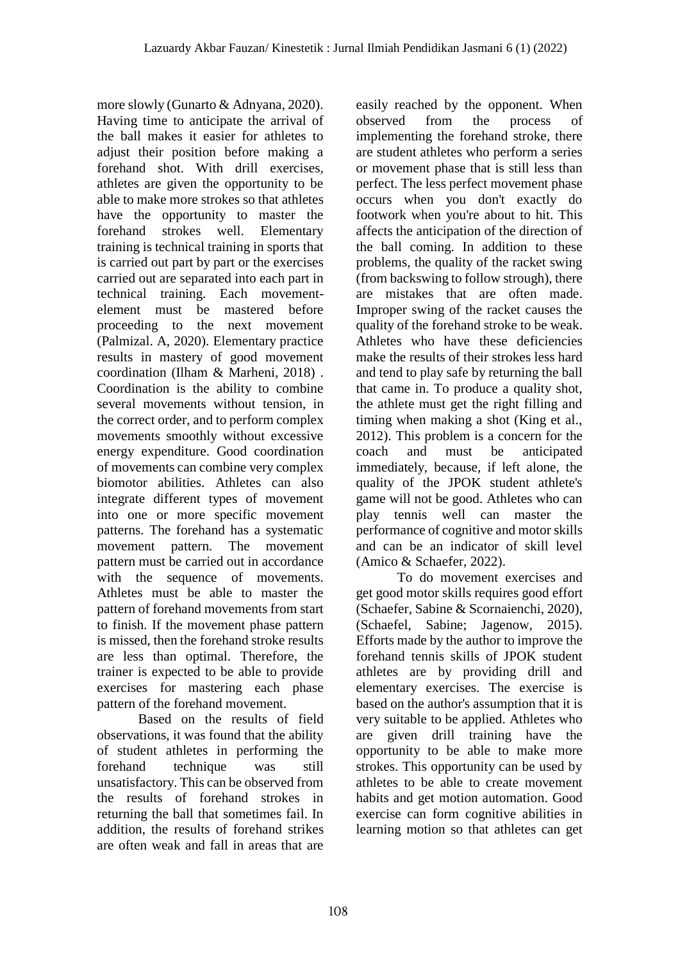more slowly (Gunarto & Adnyana, 2020). Having time to anticipate the arrival of the ball makes it easier for athletes to adjust their position before making a forehand shot. With drill exercises, athletes are given the opportunity to be able to make more strokes so that athletes have the opportunity to master the forehand strokes well. Elementary training is technical training in sports that is carried out part by part or the exercises carried out are separated into each part in technical training. Each movementelement must be mastered before proceeding to the next movement (Palmizal. A, 2020). Elementary practice results in mastery of good movement coordination (Ilham & Marheni, 2018) . Coordination is the ability to combine several movements without tension, in the correct order, and to perform complex movements smoothly without excessive energy expenditure. Good coordination of movements can combine very complex biomotor abilities. Athletes can also integrate different types of movement into one or more specific movement patterns. The forehand has a systematic movement pattern. The movement pattern must be carried out in accordance with the sequence of movements. Athletes must be able to master the pattern of forehand movements from start to finish. If the movement phase pattern is missed, then the forehand stroke results are less than optimal. Therefore, the trainer is expected to be able to provide exercises for mastering each phase pattern of the forehand movement.

Based on the results of field observations, it was found that the ability of student athletes in performing the forehand technique was still unsatisfactory. This can be observed from the results of forehand strokes in returning the ball that sometimes fail. In addition, the results of forehand strikes are often weak and fall in areas that are easily reached by the opponent. When observed from the process of implementing the forehand stroke, there are student athletes who perform a series or movement phase that is still less than perfect. The less perfect movement phase occurs when you don't exactly do footwork when you're about to hit. This affects the anticipation of the direction of the ball coming. In addition to these problems, the quality of the racket swing (from backswing to follow strough), there are mistakes that are often made. Improper swing of the racket causes the quality of the forehand stroke to be weak. Athletes who have these deficiencies make the results of their strokes less hard and tend to play safe by returning the ball that came in. To produce a quality shot, the athlete must get the right filling and timing when making a shot (King et al., 2012). This problem is a concern for the coach and must be anticipated immediately, because, if left alone, the quality of the JPOK student athlete's game will not be good. Athletes who can play tennis well can master the performance of cognitive and motor skills and can be an indicator of skill level (Amico & Schaefer, 2022).

To do movement exercises and get good motor skills requires good effort (Schaefer, Sabine & Scornaienchi, 2020), (Schaefel, Sabine; Jagenow, 2015). Efforts made by the author to improve the forehand tennis skills of JPOK student athletes are by providing drill and elementary exercises. The exercise is based on the author's assumption that it is very suitable to be applied. Athletes who are given drill training have the opportunity to be able to make more strokes. This opportunity can be used by athletes to be able to create movement habits and get motion automation. Good exercise can form cognitive abilities in learning motion so that athletes can get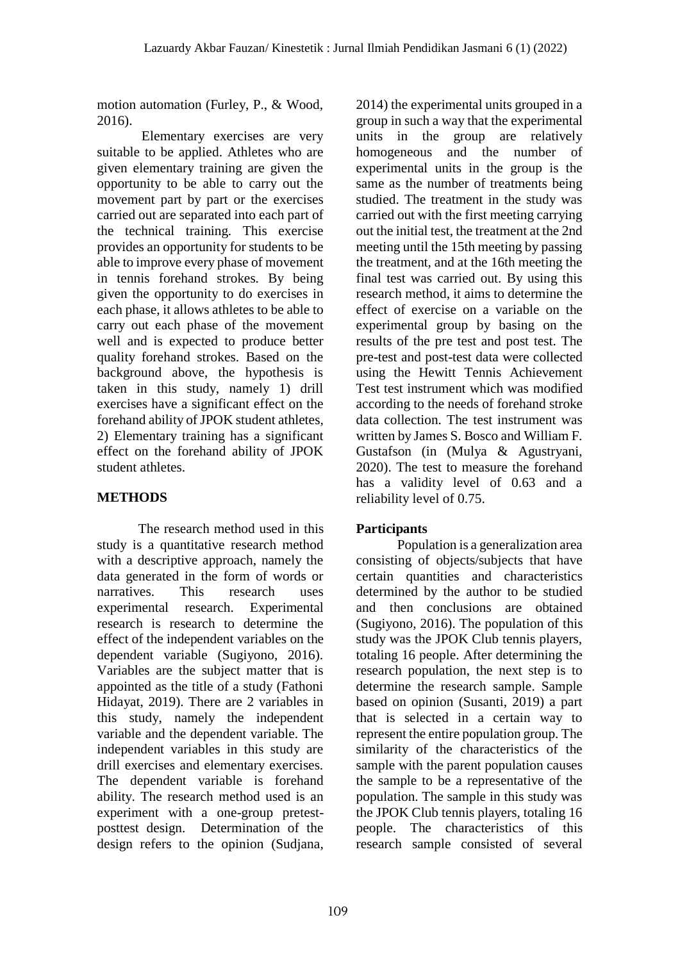motion automation (Furley, P., & Wood, 2016).

Elementary exercises are very suitable to be applied. Athletes who are given elementary training are given the opportunity to be able to carry out the movement part by part or the exercises carried out are separated into each part of the technical training. This exercise provides an opportunity for students to be able to improve every phase of movement in tennis forehand strokes. By being given the opportunity to do exercises in each phase, it allows athletes to be able to carry out each phase of the movement well and is expected to produce better quality forehand strokes. Based on the background above, the hypothesis is taken in this study, namely 1) drill exercises have a significant effect on the forehand ability of JPOK student athletes, 2) Elementary training has a significant effect on the forehand ability of JPOK student athletes.

# **METHODS**

The research method used in this study is a quantitative research method with a descriptive approach, namely the data generated in the form of words or narratives. This research uses experimental research. Experimental research is research to determine the effect of the independent variables on the dependent variable (Sugiyono, 2016). Variables are the subject matter that is appointed as the title of a study (Fathoni Hidayat, 2019). There are 2 variables in this study, namely the independent variable and the dependent variable. The independent variables in this study are drill exercises and elementary exercises. The dependent variable is forehand ability. The research method used is an experiment with a one-group pretestposttest design. Determination of the design refers to the opinion (Sudjana, 2014) the experimental units grouped in a group in such a way that the experimental units in the group are relatively homogeneous and the number of experimental units in the group is the same as the number of treatments being studied. The treatment in the study was carried out with the first meeting carrying out the initial test, the treatment at the 2nd meeting until the 15th meeting by passing the treatment, and at the 16th meeting the final test was carried out. By using this research method, it aims to determine the effect of exercise on a variable on the experimental group by basing on the results of the pre test and post test. The pre-test and post-test data were collected using the Hewitt Tennis Achievement Test test instrument which was modified according to the needs of forehand stroke data collection. The test instrument was written by James S. Bosco and William F. Gustafson (in (Mulya & Agustryani, 2020). The test to measure the forehand has a validity level of 0.63 and a reliability level of 0.75.

# **Participants**

Population is a generalization area consisting of objects/subjects that have certain quantities and characteristics determined by the author to be studied and then conclusions are obtained (Sugiyono, 2016). The population of this study was the JPOK Club tennis players, totaling 16 people. After determining the research population, the next step is to determine the research sample. Sample based on opinion (Susanti, 2019) a part that is selected in a certain way to represent the entire population group. The similarity of the characteristics of the sample with the parent population causes the sample to be a representative of the population. The sample in this study was the JPOK Club tennis players, totaling 16 people. The characteristics of this research sample consisted of several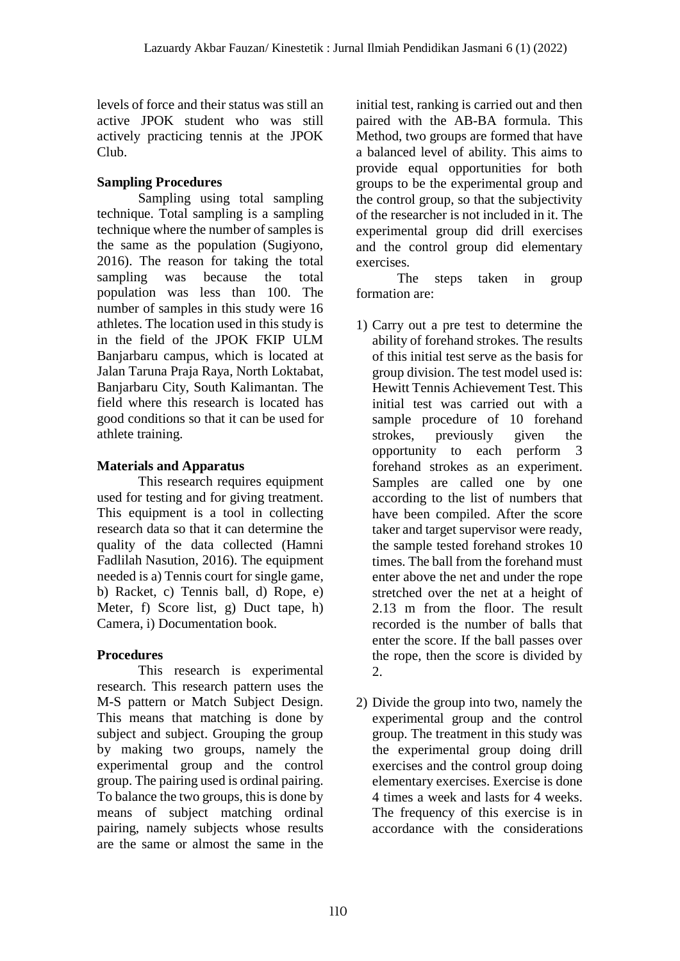levels of force and their status was still an active JPOK student who was still actively practicing tennis at the JPOK Club.

## **Sampling Procedures**

Sampling using total sampling technique. Total sampling is a sampling technique where the number of samples is the same as the population (Sugiyono, 2016). The reason for taking the total sampling was because the total population was less than 100. The number of samples in this study were 16 athletes. The location used in this study is in the field of the JPOK FKIP ULM Banjarbaru campus, which is located at Jalan Taruna Praja Raya, North Loktabat, Banjarbaru City, South Kalimantan. The field where this research is located has good conditions so that it can be used for athlete training.

## **Materials and Apparatus**

This research requires equipment used for testing and for giving treatment. This equipment is a tool in collecting research data so that it can determine the quality of the data collected (Hamni Fadlilah Nasution, 2016). The equipment needed is a) Tennis court for single game, b) Racket, c) Tennis ball, d) Rope, e) Meter, f) Score list, g) Duct tape, h) Camera, i) Documentation book.

# **Procedures**

This research is experimental research. This research pattern uses the M-S pattern or Match Subject Design. This means that matching is done by subject and subject. Grouping the group by making two groups, namely the experimental group and the control group. The pairing used is ordinal pairing. To balance the two groups, this is done by means of subject matching ordinal pairing, namely subjects whose results are the same or almost the same in the initial test, ranking is carried out and then paired with the AB-BA formula. This Method, two groups are formed that have a balanced level of ability. This aims to provide equal opportunities for both groups to be the experimental group and the control group, so that the subjectivity of the researcher is not included in it. The experimental group did drill exercises and the control group did elementary exercises.

The steps taken in group formation are:

- 1) Carry out a pre test to determine the ability of forehand strokes. The results of this initial test serve as the basis for group division. The test model used is: Hewitt Tennis Achievement Test. This initial test was carried out with a sample procedure of 10 forehand strokes, previously given the opportunity to each perform 3 forehand strokes as an experiment. Samples are called one by one according to the list of numbers that have been compiled. After the score taker and target supervisor were ready, the sample tested forehand strokes 10 times. The ball from the forehand must enter above the net and under the rope stretched over the net at a height of 2.13 m from the floor. The result recorded is the number of balls that enter the score. If the ball passes over the rope, then the score is divided by 2.
- 2) Divide the group into two, namely the experimental group and the control group. The treatment in this study was the experimental group doing drill exercises and the control group doing elementary exercises. Exercise is done 4 times a week and lasts for 4 weeks. The frequency of this exercise is in accordance with the considerations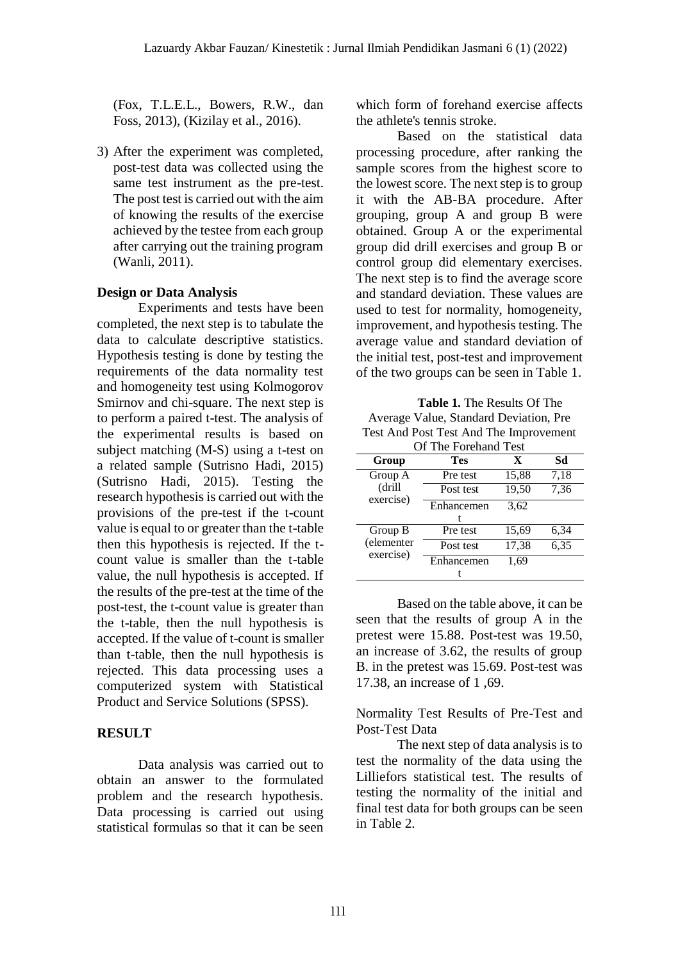(Fox, T.L.E.L., Bowers, R.W., dan Foss, 2013), (Kizilay et al., 2016).

3) After the experiment was completed, post-test data was collected using the same test instrument as the pre-test. The post test is carried out with the aim of knowing the results of the exercise achieved by the testee from each group after carrying out the training program (Wanli, 2011).

#### **Design or Data Analysis**

Experiments and tests have been completed, the next step is to tabulate the data to calculate descriptive statistics. Hypothesis testing is done by testing the requirements of the data normality test and homogeneity test using Kolmogorov Smirnov and chi-square. The next step is to perform a paired t-test. The analysis of the experimental results is based on subject matching (M-S) using a t-test on a related sample (Sutrisno Hadi, 2015) (Sutrisno Hadi, 2015). Testing the research hypothesis is carried out with the provisions of the pre-test if the t-count value is equal to or greater than the t-table then this hypothesis is rejected. If the tcount value is smaller than the t-table value, the null hypothesis is accepted. If the results of the pre-test at the time of the post-test, the t-count value is greater than the t-table, then the null hypothesis is accepted. If the value of t-count is smaller than t-table, then the null hypothesis is rejected. This data processing uses a computerized system with Statistical Product and Service Solutions (SPSS).

### **RESULT**

Data analysis was carried out to obtain an answer to the formulated problem and the research hypothesis. Data processing is carried out using statistical formulas so that it can be seen which form of forehand exercise affects the athlete's tennis stroke.

Based on the statistical data processing procedure, after ranking the sample scores from the highest score to the lowest score. The next step is to group it with the AB-BA procedure. After grouping, group A and group B were obtained. Group A or the experimental group did drill exercises and group B or control group did elementary exercises. The next step is to find the average score and standard deviation. These values are used to test for normality, homogeneity, improvement, and hypothesis testing. The average value and standard deviation of the initial test, post-test and improvement of the two groups can be seen in Table 1.

**Table 1.** The Results Of The Average Value, Standard Deviation, Pre Test And Post Test And The Improvement

| Of The Forehand Test               |            |               |      |
|------------------------------------|------------|---------------|------|
| Group                              | <b>Tes</b> | X             | Sd   |
| Group A<br>(drill)<br>exercise)    | Pre test   | 15,88         | 7,18 |
|                                    | Post test  | 19,50<br>7,36 |      |
|                                    | Enhancemen | 3,62          |      |
|                                    |            |               |      |
| Group B<br>(elementer<br>exercise) | Pre test   | 15,69         | 6,34 |
|                                    | Post test  | 17,38         | 6,35 |
|                                    | Enhancemen | 1,69          |      |
|                                    |            |               |      |

Based on the table above, it can be seen that the results of group A in the pretest were 15.88. Post-test was 19.50, an increase of 3.62, the results of group B. in the pretest was 15.69. Post-test was 17.38, an increase of 1 ,69.

Normality Test Results of Pre-Test and Post-Test Data

The next step of data analysis is to test the normality of the data using the Lilliefors statistical test. The results of testing the normality of the initial and final test data for both groups can be seen in Table 2.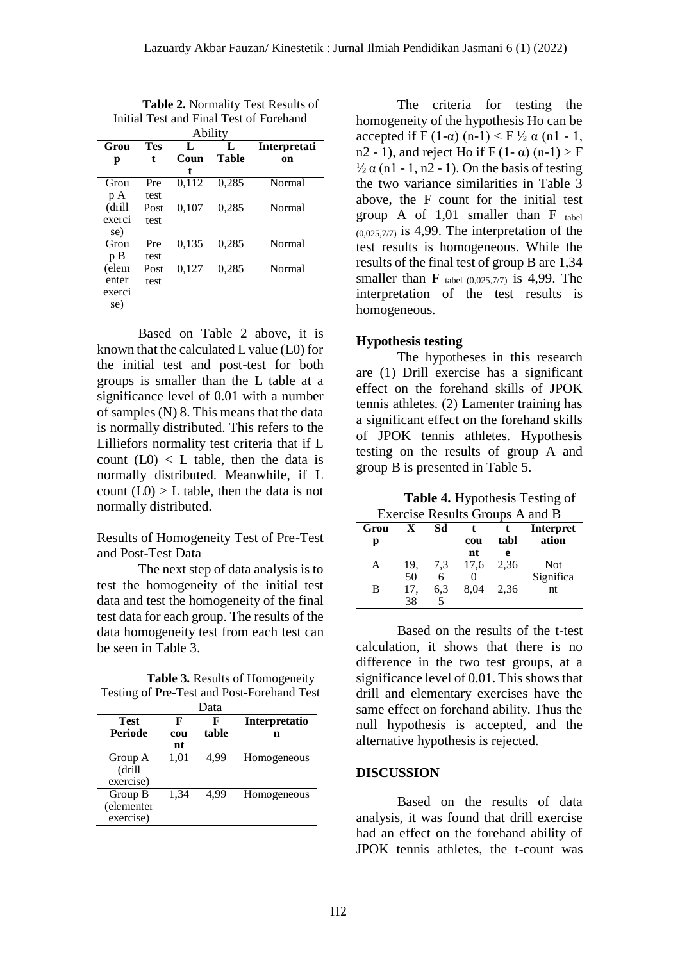| Ability                         |                 |                 |                   |                    |  |
|---------------------------------|-----------------|-----------------|-------------------|--------------------|--|
| Grou<br>р                       | <b>Tes</b><br>t | L<br>Coun<br>t. | L<br><b>Table</b> | Interpretati<br>on |  |
| Grou<br>рA                      | Pre<br>test     | 0,112           | 0,285             | Normal             |  |
| (drill<br>exerci<br>se)         | Post<br>test    | 0.107           | 0,285             | Normal             |  |
| Grou<br>p B                     | Pre<br>test     | 0,135           | 0,285             | Normal             |  |
| (elem<br>enter<br>exerci<br>se) | Post<br>test    | 0.127           | 0.285             | Normal             |  |

**Table 2.** Normality Test Results of Initial Test and Final Test of Forehand

Based on Table 2 above, it is known that the calculated L value (L0) for the initial test and post-test for both groups is smaller than the L table at a significance level of 0.01 with a number of samples (N) 8. This means that the data is normally distributed. This refers to the Lilliefors normality test criteria that if L count  $(L0) < L$  table, then the data is normally distributed. Meanwhile, if L count  $(L0)$  > L table, then the data is not normally distributed.

Results of Homogeneity Test of Pre-Test and Post-Test Data

The next step of data analysis is to test the homogeneity of the initial test data and test the homogeneity of the final test data for each group. The results of the data homogeneity test from each test can be seen in Table 3.

**Table 3.** Results of Homogeneity Testing of Pre-Test and Post-Forehand Test

|                                    |           | Data       |               |
|------------------------------------|-----------|------------|---------------|
| <b>Test</b><br><b>Periode</b>      | F         | F<br>table | Interpretatio |
|                                    | cou<br>nt |            | n             |
| Group A<br>(drill<br>exercise)     | 1,01      | 4.99       | Homogeneous   |
| Group B<br>(elementer<br>exercise) | 1,34      | 4.99       | Homogeneous   |

The criteria for testing the homogeneity of the hypothesis Ho can be accepted if F (1- $\alpha$ ) (n-1) < F  $\frac{1}{2}$   $\alpha$  (n1 - 1, n2 - 1), and reject Ho if F (1- $\alpha$ ) (n-1) > F  $\frac{1}{2} \alpha$  (n1 - 1, n2 - 1). On the basis of testing the two variance similarities in Table 3 above, the F count for the initial test group A of  $1,01$  smaller than F tabel  $(0.025.7/7)$  is 4,99. The interpretation of the test results is homogeneous. While the results of the final test of group B are 1,34 smaller than F tabel  $(0.025,7/7)$  is 4,99. The interpretation of the test results is homogeneous.

#### **Hypothesis testing**

The hypotheses in this research are (1) Drill exercise has a significant effect on the forehand skills of JPOK tennis athletes. (2) Lamenter training has a significant effect on the forehand skills of JPOK tennis athletes. Hypothesis testing on the results of group A and group B is presented in Table 5.

**Table 4.** Hypothesis Testing of

| Exercise Results Groups A and B |                 |          |           |           |                           |
|---------------------------------|-----------------|----------|-----------|-----------|---------------------------|
| Grou<br>р                       | X               | Sd       | cou<br>nt | tabl<br>e | <b>Interpret</b><br>ation |
|                                 | 19.             | 7.3      | 17,6      | 2,36      | <b>Not</b>                |
| R                               | 50<br>17.<br>38 | 6<br>6.3 | 8.04      | 2.36      | Significa<br>nt           |

Based on the results of the t-test calculation, it shows that there is no difference in the two test groups, at a significance level of 0.01. This shows that drill and elementary exercises have the same effect on forehand ability. Thus the null hypothesis is accepted, and the alternative hypothesis is rejected.

#### **DISCUSSION**

Based on the results of data analysis, it was found that drill exercise had an effect on the forehand ability of JPOK tennis athletes, the t-count was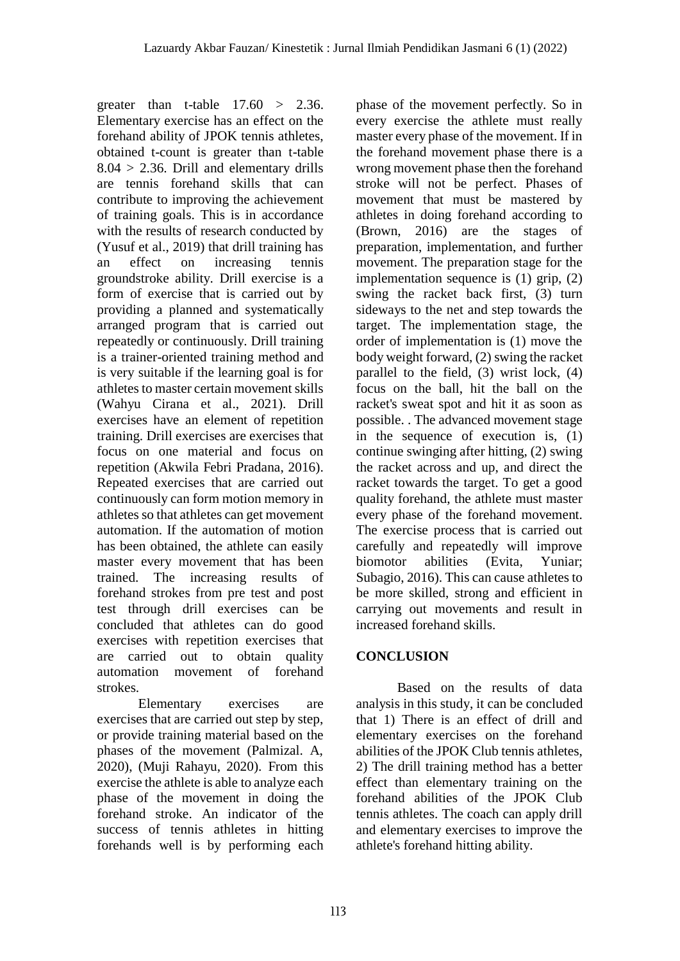greater than t-table  $17.60 > 2.36$ . Elementary exercise has an effect on the forehand ability of JPOK tennis athletes, obtained t-count is greater than t-table  $8.04 > 2.36$ . Drill and elementary drills are tennis forehand skills that can contribute to improving the achievement of training goals. This is in accordance with the results of research conducted by (Yusuf et al., 2019) that drill training has an effect on increasing tennis groundstroke ability. Drill exercise is a form of exercise that is carried out by providing a planned and systematically arranged program that is carried out repeatedly or continuously. Drill training is a trainer-oriented training method and is very suitable if the learning goal is for athletes to master certain movement skills (Wahyu Cirana et al., 2021). Drill exercises have an element of repetition training. Drill exercises are exercises that focus on one material and focus on repetition (Akwila Febri Pradana, 2016). Repeated exercises that are carried out continuously can form motion memory in athletes so that athletes can get movement automation. If the automation of motion has been obtained, the athlete can easily master every movement that has been trained. The increasing results of forehand strokes from pre test and post test through drill exercises can be concluded that athletes can do good exercises with repetition exercises that are carried out to obtain quality automation movement of forehand strokes.

Elementary exercises are exercises that are carried out step by step, or provide training material based on the phases of the movement (Palmizal. A, 2020), (Muji Rahayu, 2020). From this exercise the athlete is able to analyze each phase of the movement in doing the forehand stroke. An indicator of the success of tennis athletes in hitting forehands well is by performing each phase of the movement perfectly. So in every exercise the athlete must really master every phase of the movement. If in the forehand movement phase there is a wrong movement phase then the forehand stroke will not be perfect. Phases of movement that must be mastered by athletes in doing forehand according to (Brown, 2016) are the stages of preparation, implementation, and further movement. The preparation stage for the implementation sequence is (1) grip, (2) swing the racket back first, (3) turn sideways to the net and step towards the target. The implementation stage, the order of implementation is (1) move the body weight forward, (2) swing the racket parallel to the field, (3) wrist lock, (4) focus on the ball, hit the ball on the racket's sweat spot and hit it as soon as possible. . The advanced movement stage in the sequence of execution is, (1) continue swinging after hitting, (2) swing the racket across and up, and direct the racket towards the target. To get a good quality forehand, the athlete must master every phase of the forehand movement. The exercise process that is carried out carefully and repeatedly will improve biomotor abilities (Evita, Yuniar; Subagio, 2016). This can cause athletes to be more skilled, strong and efficient in carrying out movements and result in increased forehand skills.

# **CONCLUSION**

Based on the results of data analysis in this study, it can be concluded that 1) There is an effect of drill and elementary exercises on the forehand abilities of the JPOK Club tennis athletes, 2) The drill training method has a better effect than elementary training on the forehand abilities of the JPOK Club tennis athletes. The coach can apply drill and elementary exercises to improve the athlete's forehand hitting ability.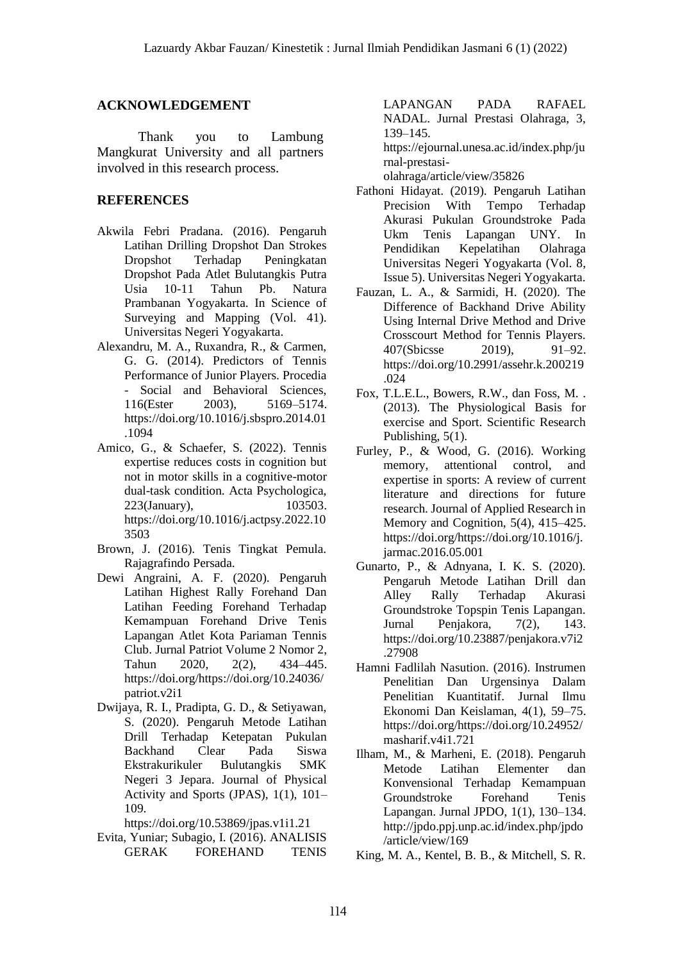### **ACKNOWLEDGEMENT**

Thank you to Lambung Mangkurat University and all partners involved in this research process.

### **REFERENCES**

- Akwila Febri Pradana. (2016). Pengaruh Latihan Drilling Dropshot Dan Strokes Dropshot Terhadap Peningkatan Dropshot Pada Atlet Bulutangkis Putra Usia 10-11 Tahun Pb. Natura Prambanan Yogyakarta. In Science of Surveying and Mapping (Vol. 41). Universitas Negeri Yogyakarta.
- Alexandru, M. A., Ruxandra, R., & Carmen, G. G. (2014). Predictors of Tennis Performance of Junior Players. Procedia - Social and Behavioral Sciences, 116(Ester 2003), 5169–5174. https://doi.org/10.1016/j.sbspro.2014.01 .1094
- Amico, G., & Schaefer, S. (2022). Tennis expertise reduces costs in cognition but not in motor skills in a cognitive-motor dual-task condition. Acta Psychologica, 223(January), 103503. https://doi.org/10.1016/j.actpsy.2022.10 3503
- Brown, J. (2016). Tenis Tingkat Pemula. Rajagrafindo Persada.
- Dewi Angraini, A. F. (2020). Pengaruh Latihan Highest Rally Forehand Dan Latihan Feeding Forehand Terhadap Kemampuan Forehand Drive Tenis Lapangan Atlet Kota Pariaman Tennis Club. Jurnal Patriot Volume 2 Nomor 2, Tahun 2020, 2(2), 434–445. https://doi.org/https://doi.org/10.24036/ patriot.v2i1
- Dwijaya, R. I., Pradipta, G. D., & Setiyawan, S. (2020). Pengaruh Metode Latihan Drill Terhadap Ketepatan Pukulan Backhand Clear Pada Siswa Ekstrakurikuler Bulutangkis SMK Negeri 3 Jepara. Journal of Physical Activity and Sports (JPAS), 1(1), 101– 109.

https://doi.org/10.53869/jpas.v1i1.21

Evita, Yuniar; Subagio, I. (2016). ANALISIS GERAK FOREHAND TENIS LAPANGAN PADA RAFAEL NADAL. Jurnal Prestasi Olahraga, 3, 139–145.

https://ejournal.unesa.ac.id/index.php/ju rnal-prestasi-

olahraga/article/view/35826

- Fathoni Hidayat. (2019). Pengaruh Latihan Precision With Tempo Terhadap Akurasi Pukulan Groundstroke Pada Ukm Tenis Lapangan UNY. In Pendidikan Kepelatihan Olahraga Universitas Negeri Yogyakarta (Vol. 8, Issue 5). Universitas Negeri Yogyakarta.
- Fauzan, L. A., & Sarmidi, H. (2020). The Difference of Backhand Drive Ability Using Internal Drive Method and Drive Crosscourt Method for Tennis Players. 407(Sbicsse 2019), 91–92. https://doi.org/10.2991/assehr.k.200219 .024
- Fox, T.L.E.L., Bowers, R.W., dan Foss, M. . (2013). The Physiological Basis for exercise and Sport. Scientific Research Publishing, 5(1).
- Furley, P., & Wood, G. (2016). Working memory, attentional control, and expertise in sports: A review of current literature and directions for future research. Journal of Applied Research in Memory and Cognition, 5(4), 415–425. https://doi.org/https://doi.org/10.1016/j. jarmac.2016.05.001
- Gunarto, P., & Adnyana, I. K. S. (2020). Pengaruh Metode Latihan Drill dan Alley Rally Terhadap Akurasi Groundstroke Topspin Tenis Lapangan. Jurnal Penjakora, 7(2), 143. https://doi.org/10.23887/penjakora.v7i2 .27908
- Hamni Fadlilah Nasution. (2016). Instrumen Penelitian Dan Urgensinya Dalam Penelitian Kuantitatif. Jurnal Ilmu Ekonomi Dan Keislaman, 4(1), 59–75. https://doi.org/https://doi.org/10.24952/ masharif.v4i1.721
- Ilham, M., & Marheni, E. (2018). Pengaruh Metode Latihan Elementer dan Konvensional Terhadap Kemampuan Groundstroke Forehand Tenis Lapangan. Jurnal JPDO, 1(1), 130–134. http://jpdo.ppj.unp.ac.id/index.php/jpdo /article/view/169

King, M. A., Kentel, B. B., & Mitchell, S. R.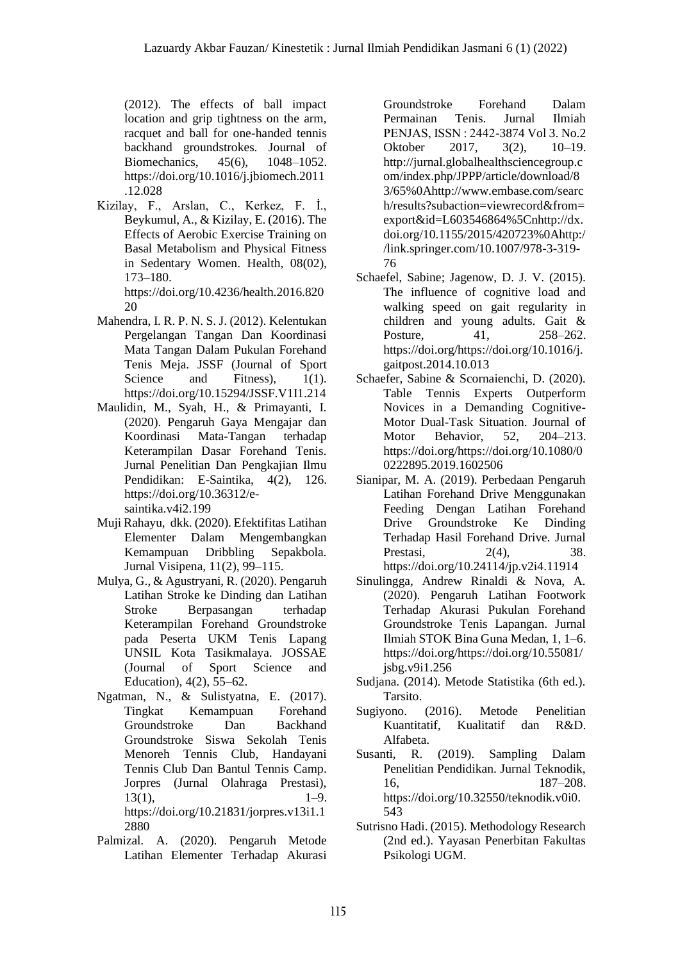(2012). The effects of ball impact location and grip tightness on the arm, racquet and ball for one-handed tennis backhand groundstrokes. Journal of Biomechanics, 45(6), 1048–1052. https://doi.org/10.1016/j.jbiomech.2011 .12.028

Kizilay, F., Arslan, C., Kerkez, F. İ., Beykumul, A., & Kizilay, E. (2016). The Effects of Aerobic Exercise Training on Basal Metabolism and Physical Fitness in Sedentary Women. Health, 08(02), 173–180.

https://doi.org/10.4236/health.2016.820 20

- Mahendra, I. R. P. N. S. J. (2012). Kelentukan Pergelangan Tangan Dan Koordinasi Mata Tangan Dalam Pukulan Forehand Tenis Meja. JSSF (Journal of Sport Science and Fitness), 1(1). https://doi.org/10.15294/JSSF.V1I1.214
- Maulidin, M., Syah, H., & Primayanti, I. (2020). Pengaruh Gaya Mengajar dan Koordinasi Mata-Tangan terhadap Keterampilan Dasar Forehand Tenis. Jurnal Penelitian Dan Pengkajian Ilmu Pendidikan: E-Saintika, 4(2), 126. https://doi.org/10.36312/esaintika.v4i2.199
- Muji Rahayu, dkk. (2020). Efektifitas Latihan Elementer Dalam Mengembangkan Kemampuan Dribbling Sepakbola. Jurnal Visipena, 11(2), 99–115.
- Mulya, G., & Agustryani, R. (2020). Pengaruh Latihan Stroke ke Dinding dan Latihan Stroke Berpasangan terhadap Keterampilan Forehand Groundstroke pada Peserta UKM Tenis Lapang UNSIL Kota Tasikmalaya. JOSSAE (Journal of Sport Science and Education), 4(2), 55–62.
- Ngatman, N., & Sulistyatna, E. (2017). Tingkat Kemampuan Forehand Groundstroke Dan Backhand Groundstroke Siswa Sekolah Tenis Menoreh Tennis Club, Handayani Tennis Club Dan Bantul Tennis Camp. Jorpres (Jurnal Olahraga Prestasi),  $13(1),$   $1-9.$ https://doi.org/10.21831/jorpres.v13i1.1 2880
- Palmizal. A. (2020). Pengaruh Metode Latihan Elementer Terhadap Akurasi

Groundstroke Forehand Dalam Permainan Tenis. Jurnal Ilmiah PENJAS, ISSN : 2442-3874 Vol 3. No.2 Oktober 2017, 3(2), 10–19. http://jurnal.globalhealthsciencegroup.c om/index.php/JPPP/article/download/8 3/65%0Ahttp://www.embase.com/searc h/results?subaction=viewrecord&from= export&id=L603546864%5Cnhttp://dx. doi.org/10.1155/2015/420723%0Ahttp:/ /link.springer.com/10.1007/978-3-319- 76

- Schaefel, Sabine; Jagenow, D. J. V. (2015). The influence of cognitive load and walking speed on gait regularity in children and young adults. Gait & Posture, 41, 258–262. https://doi.org/https://doi.org/10.1016/j. gaitpost.2014.10.013
- Schaefer, Sabine & Scornaienchi, D. (2020). Table Tennis Experts Outperform Novices in a Demanding Cognitive-Motor Dual-Task Situation. Journal of Motor Behavior, 52, 204–213. https://doi.org/https://doi.org/10.1080/0 0222895.2019.1602506
- Sianipar, M. A. (2019). Perbedaan Pengaruh Latihan Forehand Drive Menggunakan Feeding Dengan Latihan Forehand Drive Groundstroke Ke Dinding Terhadap Hasil Forehand Drive. Jurnal Prestasi, 2(4), 38. https://doi.org/10.24114/jp.v2i4.11914
- Sinulingga, Andrew Rinaldi & Nova, A. (2020). Pengaruh Latihan Footwork Terhadap Akurasi Pukulan Forehand Groundstroke Tenis Lapangan. Jurnal Ilmiah STOK Bina Guna Medan, 1, 1–6. https://doi.org/https://doi.org/10.55081/ jsbg.v9i1.256
- Sudjana. (2014). Metode Statistika (6th ed.). Tarsito.
- Sugiyono. (2016). Metode Penelitian<br>Kuantitatif. Kualitatif dan R&D. Kuantitatif, Kualitatif dan R&D. Alfabeta.
- Susanti, R. (2019). Sampling Dalam Penelitian Pendidikan. Jurnal Teknodik, 16, 187–208. https://doi.org/10.32550/teknodik.v0i0. 543
- Sutrisno Hadi. (2015). Methodology Research (2nd ed.). Yayasan Penerbitan Fakultas Psikologi UGM.